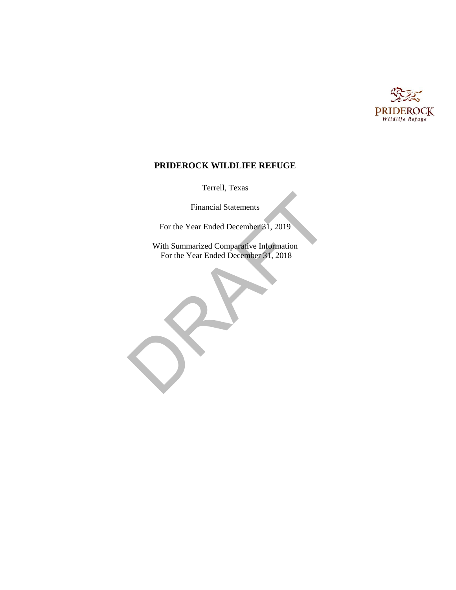

Terrell, Texas

Financial Statements

For the Year Ended December 31, 2019

With Summarized Comparative Information For the Year Ended December 31, 2018

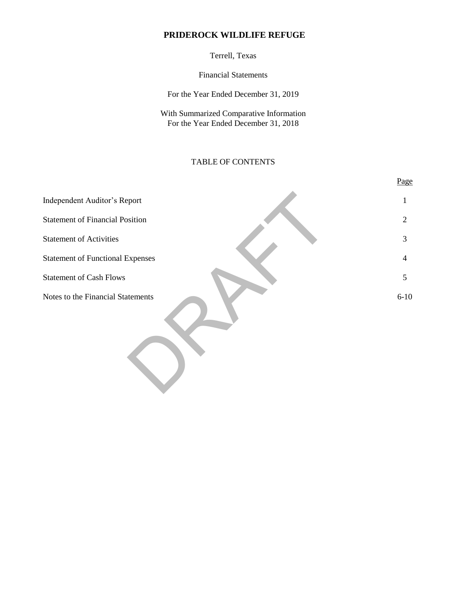Terrell, Texas

Financial Statements

For the Year Ended December 31, 2019

With Summarized Comparative Information For the Year Ended December 31, 2018

# TABLE OF CONTENTS

Page

| 1              |
|----------------|
| $\overline{2}$ |
| 3              |
| 4              |
| 5              |
| $6 - 10$       |
|                |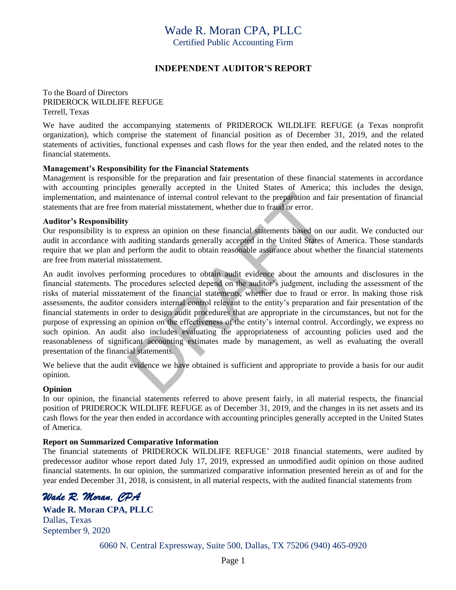# Wade R. Moran CPA, PLLC

Certified Public Accounting Firm

# **INDEPENDENT AUDITOR'S REPORT**

### To the Board of Directors PRIDEROCK WILDLIFE REFUGE Terrell, Texas

We have audited the accompanying statements of PRIDEROCK WILDLIFE REFUGE (a Texas nonprofit organization), which comprise the statement of financial position as of December 31, 2019, and the related statements of activities, functional expenses and cash flows for the year then ended, and the related notes to the financial statements.

#### **Management's Responsibility for the Financial Statements**

Management is responsible for the preparation and fair presentation of these financial statements in accordance with accounting principles generally accepted in the United States of America; this includes the design, implementation, and maintenance of internal control relevant to the preparation and fair presentation of financial statements that are free from material misstatement, whether due to fraud or error.

#### **Auditor's Responsibility**

Our responsibility is to express an opinion on these financial statements based on our audit. We conducted our audit in accordance with auditing standards generally accepted in the United States of America. Those standards require that we plan and perform the audit to obtain reasonable assurance about whether the financial statements are free from material misstatement.

An audit involves performing procedures to obtain audit evidence about the amounts and disclosures in the financial statements. The procedures selected depend on the auditor's judgment, including the assessment of the risks of material misstatement of the financial statements, whether due to fraud or error. In making those risk assessments, the auditor considers internal control relevant to the entity's preparation and fair presentation of the financial statements in order to design audit procedures that are appropriate in the circumstances, but not for the purpose of expressing an opinion on the effectiveness of the entity's internal control. Accordingly, we express no such opinion. An audit also includes evaluating the appropriateness of accounting policies used and the reasonableness of significant accounting estimates made by management, as well as evaluating the overall presentation of the financial statements. ntenance of internal control relevant to the preparation and f<br>om material misstatement, whether due to fraud or error.<br>
7<br>
xxpress an opinion on these financial statements based on o<br>
auditing standards generally accepted

We believe that the audit evidence we have obtained is sufficient and appropriate to provide a basis for our audit opinion.

#### **Opinion**

In our opinion, the financial statements referred to above present fairly, in all material respects, the financial position of PRIDEROCK WILDLIFE REFUGE as of December 31, 2019, and the changes in its net assets and its cash flows for the year then ended in accordance with accounting principles generally accepted in the United States of America.

#### **Report on Summarized Comparative Information**

The financial statements of PRIDEROCK WILDLIFE REFUGE' 2018 financial statements, were audited by predecessor auditor whose report dated July 17, 2019, expressed an unmodified audit opinion on those audited financial statements. In our opinion, the summarized comparative information presented herein as of and for the year ended December 31, 2018, is consistent, in all material respects, with the audited financial statements from

# *Wade R. Moran, CPA*

**Wade R. Moran CPA, PLLC**  Dallas, Texas September 9, 2020

6060 N. Central Expressway, Suite 500, Dallas, TX 75206 (940) 465-0920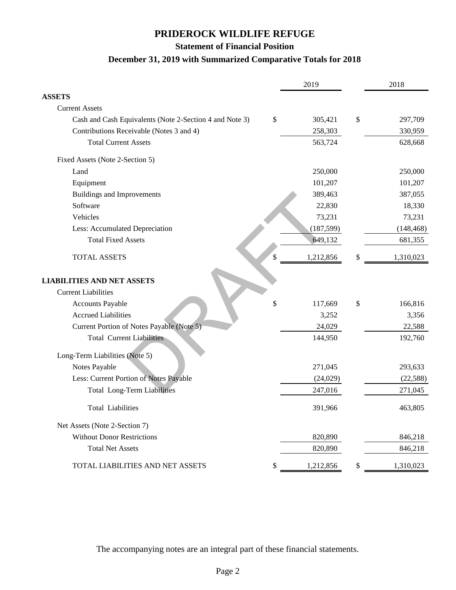# **Statement of Financial Position**

# **December 31, 2019 with Summarized Comparative Totals for 2018**

|                                                         | 2019            | 2018            |
|---------------------------------------------------------|-----------------|-----------------|
| <b>ASSETS</b>                                           |                 |                 |
| <b>Current Assets</b>                                   |                 |                 |
| Cash and Cash Equivalents (Note 2-Section 4 and Note 3) | \$<br>305,421   | \$<br>297,709   |
| Contributions Receivable (Notes 3 and 4)                | 258,303         | 330,959         |
| <b>Total Current Assets</b>                             | 563,724         | 628,668         |
| Fixed Assets (Note 2-Section 5)                         |                 |                 |
| Land                                                    | 250,000         | 250,000         |
| Equipment                                               | 101,207         | 101,207         |
| <b>Buildings and Improvements</b>                       | 389,463         | 387,055         |
| Software                                                | 22,830          | 18,330          |
| Vehicles                                                | 73,231          | 73,231          |
| Less: Accumulated Depreciation                          | (187, 599)      | (148, 468)      |
| <b>Total Fixed Assets</b>                               | 649,132         | 681,355         |
| <b>TOTAL ASSETS</b>                                     | \$<br>1,212,856 | \$<br>1,310,023 |
| <b>LIABILITIES AND NET ASSETS</b>                       |                 |                 |
| <b>Current Liabilities</b>                              |                 |                 |
| <b>Accounts Payable</b>                                 | \$<br>117,669   | \$<br>166,816   |
| <b>Accrued Liabilities</b>                              | 3,252           | 3,356           |
| Current Portion of Notes Payable (Note 5)               | 24,029          | 22,588          |
| <b>Total Current Liabilities</b>                        | 144,950         | 192,760         |
| Long-Term Liabilities (Note 5)                          |                 |                 |
| Notes Payable                                           | 271,045         | 293,633         |
| Less: Current Portion of Notes Payable                  | (24,029)        | (22, 588)       |
| Total Long-Term Liabilities                             | 247,016         | 271,045         |
| <b>Total Liabilities</b>                                | 391,966         | 463,805         |
| Net Assets (Note 2-Section 7)                           |                 |                 |
| <b>Without Donor Restrictions</b>                       | 820,890         | 846,218         |
| <b>Total Net Assets</b>                                 | 820,890         | 846,218         |
| TOTAL LIABILITIES AND NET ASSETS                        | \$<br>1,212,856 | \$<br>1,310,023 |

The accompanying notes are an integral part of these financial statements.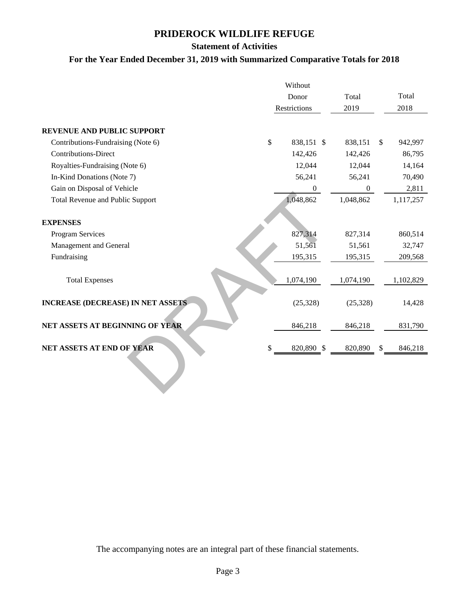# **Statement of Activities**

# **For the Year Ended December 31, 2019 with Summarized Comparative Totals for 2018**

|                                          | Without          |           |              |           |
|------------------------------------------|------------------|-----------|--------------|-----------|
|                                          | Donor            | Total     |              | Total     |
|                                          | Restrictions     |           |              | 2018      |
|                                          |                  |           |              |           |
| <b>REVENUE AND PUBLIC SUPPORT</b>        |                  |           |              |           |
| Contributions-Fundraising (Note 6)       | \$<br>838,151 \$ | 838,151   | $\mathbb{S}$ | 942,997   |
| <b>Contributions-Direct</b>              | 142,426          | 142,426   |              | 86,795    |
| Royalties-Fundraising (Note 6)           | 12,044           | 12,044    |              | 14,164    |
| In-Kind Donations (Note 7)               | 56,241           | 56,241    |              | 70,490    |
| Gain on Disposal of Vehicle              | $\Omega$         | $\Omega$  |              | 2,811     |
| Total Revenue and Public Support         | 1,048,862        | 1,048,862 |              | 1,117,257 |
|                                          |                  |           |              |           |
| <b>EXPENSES</b>                          |                  |           |              |           |
| Program Services                         | 827,314          | 827,314   |              | 860,514   |
| Management and General                   | 51,561           | 51,561    |              | 32,747    |
| Fundraising                              | 195,315          | 195,315   |              | 209,568   |
|                                          |                  |           |              |           |
| <b>Total Expenses</b>                    | 1,074,190        | 1,074,190 |              | 1,102,829 |
|                                          |                  |           |              |           |
| <b>INCREASE (DECREASE) IN NET ASSETS</b> | (25, 328)        | (25, 328) |              | 14,428    |
|                                          |                  |           |              |           |
| NET ASSETS AT BEGINNING OF YEAR          | 846,218          | 846,218   |              | 831,790   |
|                                          |                  |           |              |           |
| NET ASSETS AT END OF YEAR                | \$<br>820,890 \$ | 820,890   | \$           | 846,218   |
|                                          |                  |           |              |           |
|                                          |                  |           |              |           |
|                                          |                  |           |              |           |
|                                          |                  |           |              |           |

The accompanying notes are an integral part of these financial statements.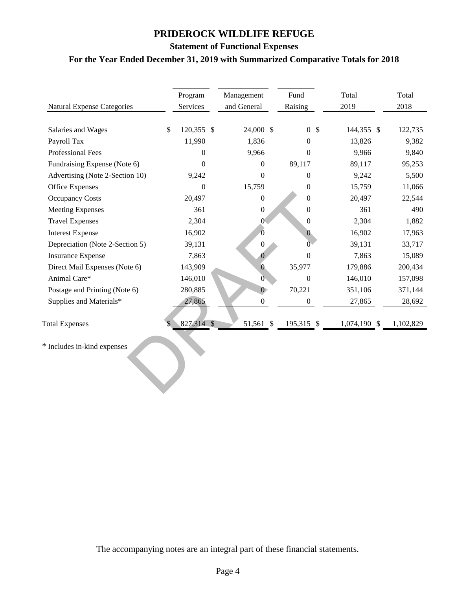# **Statement of Functional Expenses**

# **For the Year Ended December 31, 2019 with Summarized Comparative Totals for 2018**

|                                   | Program          | Management        | Fund                   | Total        | Total     |
|-----------------------------------|------------------|-------------------|------------------------|--------------|-----------|
| <b>Natural Expense Categories</b> | Services         | and General       | Raising                | 2019         | 2018      |
|                                   |                  |                   |                        |              |           |
| Salaries and Wages                | \$<br>120,355 \$ | 24,000 \$         | - \$<br>$\overline{0}$ | 144,355 \$   | 122,735   |
| Payroll Tax                       | 11,990           | 1,836             | $\Omega$               | 13,826       | 9,382     |
| <b>Professional Fees</b>          | $\theta$         | 9,966             | $\Omega$               | 9,966        | 9,840     |
| Fundraising Expense (Note 6)      | $\overline{0}$   | $\mathbf{0}$      | 89,117                 | 89,117       | 95,253    |
| Advertising (Note 2-Section 10)   | 9,242            | $\theta$          | $\theta$               | 9,242        | 5,500     |
| <b>Office Expenses</b>            | $\overline{0}$   | 15,759            | $\overline{0}$         | 15,759       | 11,066    |
| <b>Occupancy Costs</b>            | 20,497           | $\mathbf{0}$      | $\theta$               | 20,497       | 22,544    |
| <b>Meeting Expenses</b>           | 361              | $\boldsymbol{0}$  | $\overline{0}$         | 361          | 490       |
| <b>Travel Expenses</b>            | 2,304            | $\vert 0 \rangle$ | $\boldsymbol{0}$       | 2,304        | 1,882     |
| <b>Interest Expense</b>           | 16,902           | $\theta$          | 0                      | 16,902       | 17,963    |
| Depreciation (Note 2-Section 5)   | 39,131           | $\mathbf{0}$      | 0                      | 39,131       | 33,717    |
| <b>Insurance Expense</b>          | 7,863            |                   | $\Omega$               | 7,863        | 15,089    |
| Direct Mail Expenses (Note 6)     | 143,909          | $\mathbf{0}$      | 35,977                 | 179,886      | 200,434   |
| Animal Care*                      | 146,010          | 0                 | $\mathbf{0}$           | 146,010      | 157,098   |
| Postage and Printing (Note 6)     | 280,885          | $\overline{0}$    | 70,221                 | 351,106      | 371,144   |
| Supplies and Materials*           | 27,865           | 0                 | $\Omega$               | 27,865       | 28,692    |
|                                   |                  |                   |                        |              |           |
| <b>Total Expenses</b>             | 827,314 \$       | 51,561 \$         | 195,315 \$             | 1,074,190 \$ | 1,102,829 |
|                                   |                  |                   |                        |              |           |
| * Includes in-kind expenses       |                  |                   |                        |              |           |
|                                   |                  |                   |                        |              |           |
|                                   |                  |                   |                        |              |           |
|                                   |                  |                   |                        |              |           |
|                                   |                  |                   |                        |              |           |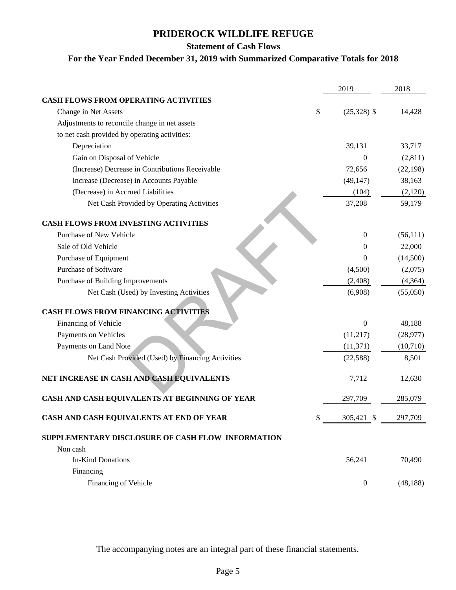# **Statement of Cash Flows**

# **For the Year Ended December 31, 2019 with Summarized Comparative Totals for 2018**

|                                                   | 2019                | 2018      |
|---------------------------------------------------|---------------------|-----------|
| <b>CASH FLOWS FROM OPERATING ACTIVITIES</b>       |                     |           |
| Change in Net Assets                              | \$<br>$(25,328)$ \$ | 14,428    |
| Adjustments to reconcile change in net assets     |                     |           |
| to net cash provided by operating activities:     |                     |           |
| Depreciation                                      | 39,131              | 33,717    |
| Gain on Disposal of Vehicle                       | $\theta$            | (2,811)   |
| (Increase) Decrease in Contributions Receivable   | 72,656              | (22, 198) |
| Increase (Decrease) in Accounts Payable           | (49, 147)           | 38,163    |
| (Decrease) in Accrued Liabilities                 | (104)               | (2,120)   |
| Net Cash Provided by Operating Activities         | 37,208              | 59,179    |
| CASH FLOWS FROM INVESTING ACTIVITIES              |                     |           |
| Purchase of New Vehicle                           | $\overline{0}$      | (56, 111) |
| Sale of Old Vehicle                               | $\Omega$            | 22,000    |
| Purchase of Equipment                             | $\Omega$            | (14,500)  |
| <b>Purchase of Software</b>                       | (4,500)             | (2,075)   |
| Purchase of Building Improvements                 | (2,408)             | (4, 364)  |
| Net Cash (Used) by Investing Activities           | (6,908)             | (55,050)  |
| <b>CASH FLOWS FROM FINANCING ACTIVITIES</b>       |                     |           |
| Financing of Vehicle                              | $\Omega$            | 48,188    |
| Payments on Vehicles                              | (11,217)            | (28,977)  |
| Payments on Land Note                             | (11,371)            | (10,710)  |
| Net Cash Provided (Used) by Financing Activities  | (22, 588)           | 8,501     |
| NET INCREASE IN CASH AND CASH EQUIVALENTS         | 7,712               | 12,630    |
| CASH AND CASH EQUIVALENTS AT BEGINNING OF YEAR    | 297,709             | 285,079   |
| CASH AND CASH EQUIVALENTS AT END OF YEAR          | 305,421             | 297,709   |
| SUPPLEMENTARY DISCLOSURE OF CASH FLOW INFORMATION |                     |           |
| Non cash                                          |                     |           |
| <b>In-Kind Donations</b>                          | 56,241              | 70,490    |
| Financing                                         |                     |           |
| Financing of Vehicle                              | $\boldsymbol{0}$    | (48, 188) |

The accompanying notes are an integral part of these financial statements.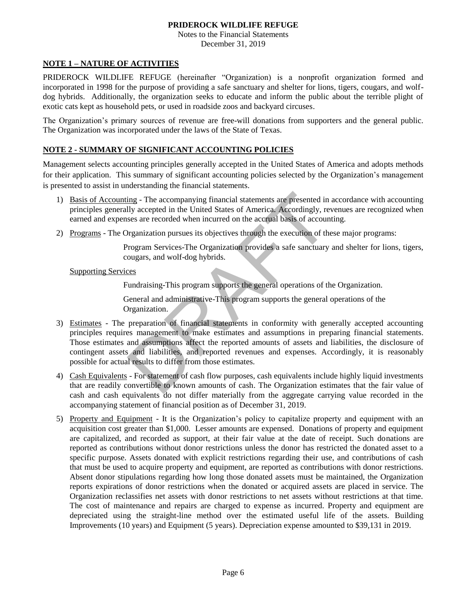Notes to the Financial Statements December 31, 2019

### **NOTE 1 – NATURE OF ACTIVITIES**

PRIDEROCK WILDLIFE REFUGE (hereinafter "Organization) is a nonprofit organization formed and incorporated in 1998 for the purpose of providing a safe sanctuary and shelter for lions, tigers, cougars, and wolfdog hybrids. Additionally, the organization seeks to educate and inform the public about the terrible plight of exotic cats kept as household pets, or used in roadside zoos and backyard circuses.

The Organization's primary sources of revenue are free-will donations from supporters and the general public. The Organization was incorporated under the laws of the State of Texas.

# **NOTE 2 - SUMMARY OF SIGNIFICANT ACCOUNTING POLICIES**

Management selects accounting principles generally accepted in the United States of America and adopts methods for their application. This summary of significant accounting policies selected by the Organization's management is presented to assist in understanding the financial statements.

- 1) Basis of Accounting The accompanying financial statements are presented in accordance with accounting principles generally accepted in the United States of America. Accordingly, revenues are recognized when earned and expenses are recorded when incurred on the accrual basis of accounting.
- 2) Programs The Organization pursues its objectives through the execution of these major programs:

Program Services-The Organization provides a safe sanctuary and shelter for lions, tigers, cougars, and wolf-dog hybrids.

Supporting Services

Fundraising-This program supports the general operations of the Organization.

General and administrative-This program supports the general operations of the Organization.

- 3) Estimates The preparation of financial statements in conformity with generally accepted accounting principles requires management to make estimates and assumptions in preparing financial statements. Those estimates and assumptions affect the reported amounts of assets and liabilities, the disclosure of contingent assets and liabilities, and reported revenues and expenses. Accordingly, it is reasonably possible for actual results to differ from those estimates. ing - The accompanying financial statements are presented in<br>Illy accepted in the United States of America. Accordingly, reses are recorded when incurred on the accrual basis of accour<br>
Dreganization pursues its objectives
- 4) Cash Equivalents For statement of cash flow purposes, cash equivalents include highly liquid investments that are readily convertible to known amounts of cash. The Organization estimates that the fair value of cash and cash equivalents do not differ materially from the aggregate carrying value recorded in the accompanying statement of financial position as of December 31, 2019.
- 5) Property and Equipment It is the Organization's policy to capitalize property and equipment with an acquisition cost greater than \$1,000. Lesser amounts are expensed. Donations of property and equipment are capitalized, and recorded as support, at their fair value at the date of receipt. Such donations are reported as contributions without donor restrictions unless the donor has restricted the donated asset to a specific purpose. Assets donated with explicit restrictions regarding their use, and contributions of cash that must be used to acquire property and equipment, are reported as contributions with donor restrictions. Absent donor stipulations regarding how long those donated assets must be maintained, the Organization reports expirations of donor restrictions when the donated or acquired assets are placed in service. The Organization reclassifies net assets with donor restrictions to net assets without restrictions at that time. The cost of maintenance and repairs are charged to expense as incurred. Property and equipment are depreciated using the straight-line method over the estimated useful life of the assets. Building Improvements (10 years) and Equipment (5 years). Depreciation expense amounted to \$39,131 in 2019.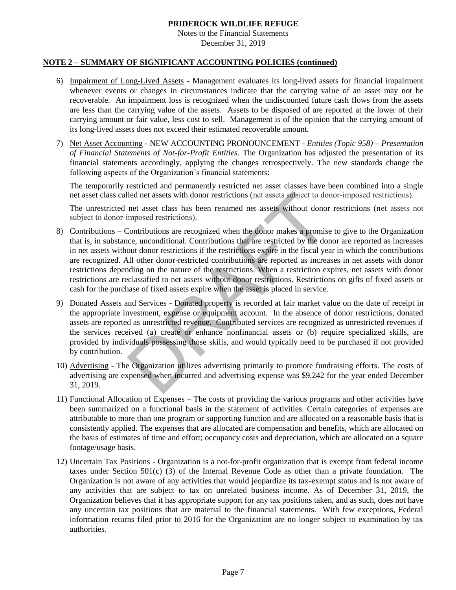Notes to the Financial Statements December 31, 2019

#### **NOTE 2 – SUMMARY OF SIGNIFICANT ACCOUNTING POLICIES (continued)**

- 6) Impairment of Long-Lived Assets Management evaluates its long-lived assets for financial impairment whenever events or changes in circumstances indicate that the carrying value of an asset may not be recoverable. An impairment loss is recognized when the undiscounted future cash flows from the assets are less than the carrying value of the assets. Assets to be disposed of are reported at the lower of their carrying amount or fair value, less cost to sell. Management is of the opinion that the carrying amount of its long-lived assets does not exceed their estimated recoverable amount.
- 7) Net Asset Accounting NEW ACCOUNTING PRONOUNCEMENT *Entities (Topic 958) Presentation of Financial Statements of Not-for-Profit Entities.* The Organization has adjusted the presentation of its financial statements accordingly, applying the changes retrospectively. The new standards change the following aspects of the Organization's financial statements:

The temporarily restricted and permanently restricted net asset classes have been combined into a single net asset class called net assets with donor restrictions (net assets subject to donor‐imposed restrictions).

The unrestricted net asset class has been renamed net assets without donor restrictions (net assets not subject to donor‐imposed restrictions).

- 8) Contributions Contributions are recognized when the donor makes a promise to give to the Organization that is, in substance, unconditional. Contributions that are restricted by the donor are reported as increases in net assets without donor restrictions if the restrictions expire in the fiscal year in which the contributions are recognized. All other donor-restricted contributions are reported as increases in net assets with donor restrictions depending on the nature of the restrictions. When a restriction expires, net assets with donor restrictions are reclassified to net assets without donor restrictions. Restrictions on gifts of fixed assets or cash for the purchase of fixed assets expire when the asset is placed in service. led net assets with donor restrictions (net assets subject to domet asset class has been renamed net assets without donor imposed restrictions).<br>Contributions are recognized when the donor makes a promiss coe, unconditiona
- 9) Donated Assets and Services Donated property is recorded at fair market value on the date of receipt in the appropriate investment, expense or equipment account. In the absence of donor restrictions, donated assets are reported as unrestricted revenue. Contributed services are recognized as unrestricted revenues if the services received (a) create or enhance nonfinancial assets or (b) require specialized skills, are provided by individuals possessing those skills, and would typically need to be purchased if not provided by contribution.
- 10) Advertising The Organization utilizes advertising primarily to promote fundraising efforts. The costs of advertising are expensed when incurred and advertising expense was \$9,242 for the year ended December 31, 2019.
- 11) Functional Allocation of Expenses The costs of providing the various programs and other activities have been summarized on a functional basis in the statement of activities. Certain categories of expenses are attributable to more than one program or supporting function and are allocated on a reasonable basis that is consistently applied. The expenses that are allocated are compensation and benefits, which are allocated on the basis of estimates of time and effort; occupancy costs and depreciation, which are allocated on a square footage/usage basis.
- 12) Uncertain Tax Positions Organization is a not-for-profit organization that is exempt from federal income taxes under Section 501(c) (3) of the Internal Revenue Code as other than a private foundation. The Organization is not aware of any activities that would jeopardize its tax-exempt status and is not aware of any activities that are subject to tax on unrelated business income. As of December 31, 2019, the Organization believes that it has appropriate support for any tax positions taken, and as such, does not have any uncertain tax positions that are material to the financial statements. With few exceptions, Federal information returns filed prior to 2016 for the Organization are no longer subject to examination by tax authorities.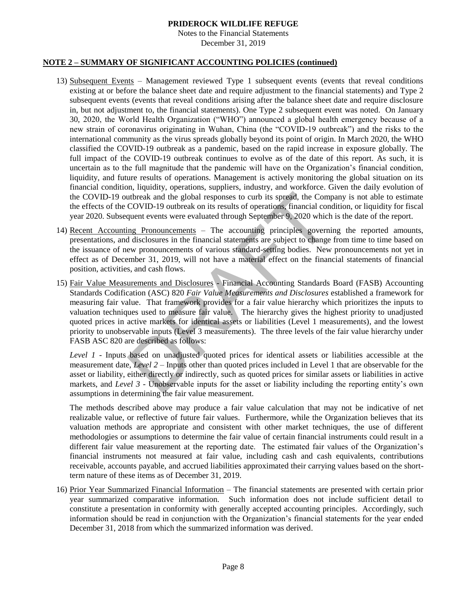Notes to the Financial Statements December 31, 2019

#### **NOTE 2 – SUMMARY OF SIGNIFICANT ACCOUNTING POLICIES (continued)**

- 13) Subsequent Events Management reviewed Type 1 subsequent events (events that reveal conditions existing at or before the balance sheet date and require adjustment to the financial statements) and Type 2 subsequent events (events that reveal conditions arising after the balance sheet date and require disclosure in, but not adjustment to, the financial statements). One Type 2 subsequent event was noted. On January 30, 2020, the World Health Organization ("WHO") announced a global health emergency because of a new strain of coronavirus originating in Wuhan, China (the "COVID-19 outbreak") and the risks to the international community as the virus spreads globally beyond its point of origin. In March 2020, the WHO classified the COVID-19 outbreak as a pandemic, based on the rapid increase in exposure globally. The full impact of the COVID-19 outbreak continues to evolve as of the date of this report. As such, it is uncertain as to the full magnitude that the pandemic will have on the Organization's financial condition, liquidity, and future results of operations. Management is actively monitoring the global situation on its financial condition, liquidity, operations, suppliers, industry, and workforce. Given the daily evolution of the COVID-19 outbreak and the global responses to curb its spread, the Company is not able to estimate the effects of the COVID-19 outbreak on its results of operations, financial condition, or liquidity for fiscal year 2020. Subsequent events were evaluated through September 9, 2020 which is the date of the report.
- 14) Recent Accounting Pronouncements The accounting principles governing the reported amounts, presentations, and disclosures in the financial statements are subject to change from time to time based on the issuance of new pronouncements of various standard-setting bodies. New pronouncements not yet in effect as of December 31, 2019, will not have a material effect on the financial statements of financial position, activities, and cash flows.
- 15) Fair Value Measurements and Disclosures Financial Accounting Standards Board (FASB) Accounting Standards Codification (ASC) 820 *Fair Value Measurements and Disclosures* established a framework for measuring fair value. That framework provides for a fair value hierarchy which prioritizes the inputs to valuation techniques used to measure fair value. The hierarchy gives the highest priority to unadjusted quoted prices in active markets for identical assets or liabilities (Level 1 measurements), and the lowest priority to unobservable inputs (Level 3 measurements). The three levels of the fair value hierarchy under FASB ASC 820 are described as follows: utbreak and the global responses to curb its spread, the Com<br>COVID-19 outbreak on its results of operations, financial cor<br>quent events were evaluated through September 9, 2020 whicl<br>ing Pronouncements – The accounting pri

*Level 1* - Inputs based on unadjusted quoted prices for identical assets or liabilities accessible at the measurement date, *Level 2* – Inputs other than quoted prices included in Level 1 that are observable for the asset or liability, either directly or indirectly, such as quoted prices for similar assets or liabilities in active markets, and *Level 3* - Unobservable inputs for the asset or liability including the reporting entity's own assumptions in determining the fair value measurement.

The methods described above may produce a fair value calculation that may not be indicative of net realizable value, or reflective of future fair values. Furthermore, while the Organization believes that its valuation methods are appropriate and consistent with other market techniques, the use of different methodologies or assumptions to determine the fair value of certain financial instruments could result in a different fair value measurement at the reporting date. The estimated fair values of the Organization's financial instruments not measured at fair value, including cash and cash equivalents, contributions receivable, accounts payable, and accrued liabilities approximated their carrying values based on the shortterm nature of these items as of December 31, 2019.

16) Prior Year Summarized Financial Information – The financial statements are presented with certain prior year summarized comparative information. Such information does not include sufficient detail to constitute a presentation in conformity with generally accepted accounting principles. Accordingly, such information should be read in conjunction with the Organization's financial statements for the year ended December 31, 2018 from which the summarized information was derived.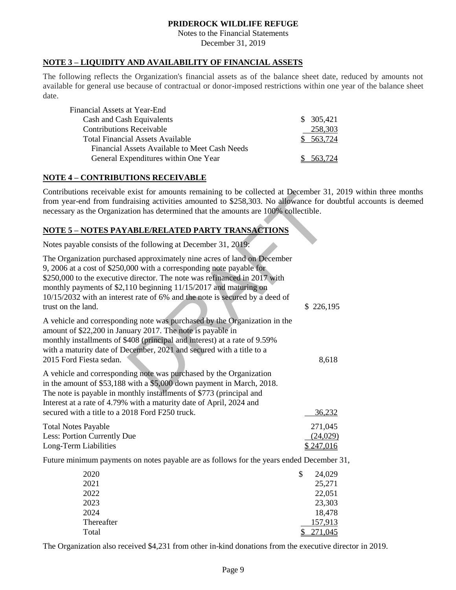Notes to the Financial Statements December 31, 2019

### **NOTE 3 – LIQUIDITY AND AVAILABILITY OF FINANCIAL ASSETS**

The following reflects the Organization's financial assets as of the balance sheet date, reduced by amounts not available for general use because of contractual or donor-imposed restrictions within one year of the balance sheet date.

| Financial Assets at Year-End                  |            |
|-----------------------------------------------|------------|
| Cash and Cash Equivalents                     | \$ 305,421 |
| <b>Contributions Receivable</b>               | 258,303    |
| <b>Total Financial Assets Available</b>       | \$563,724  |
| Financial Assets Available to Meet Cash Needs |            |
| General Expenditures within One Year          | 563.724    |

#### **NOTE 4 – CONTRIBUTIONS RECEIVABLE**

Contributions receivable exist for amounts remaining to be collected at December 31, 2019 within three months from year-end from fundraising activities amounted to \$258,303. No allowance for doubtful accounts is deemed necessary as the Organization has determined that the amounts are 100% collectible.

#### **NOTE 5 – NOTES PAYABLE/RELATED PARTY TRANSACTIONS**

| Contributions receivable exist for amounts remaining to be conected at December 31, 20<br>from year-end from fundraising activities amounted to \$258,303. No allowance for doub<br>necessary as the Organization has determined that the amounts are 100% collectible.                                                                                                                               |                                         |
|-------------------------------------------------------------------------------------------------------------------------------------------------------------------------------------------------------------------------------------------------------------------------------------------------------------------------------------------------------------------------------------------------------|-----------------------------------------|
| <u>NOTE 5 - NOTES PAYABLE/RELATED PARTY TRANSACTIONS</u>                                                                                                                                                                                                                                                                                                                                              |                                         |
| Notes payable consists of the following at December 31, 2019:                                                                                                                                                                                                                                                                                                                                         |                                         |
| The Organization purchased approximately nine acres of land on December<br>9, 2006 at a cost of \$250,000 with a corresponding note payable for<br>\$250,000 to the executive director. The note was refinanced in 2017 with<br>monthly payments of \$2,110 beginning 11/15/2017 and maturing on<br>10/15/2032 with an interest rate of 6% and the note is secured by a deed of<br>trust on the land. | \$226,195                               |
| A vehicle and corresponding note was purchased by the Organization in the<br>amount of \$22,200 in January 2017. The note is payable in<br>monthly installments of \$408 (principal and interest) at a rate of 9.59%<br>with a maturity date of December, 2021 and secured with a title to a<br>2015 Ford Fiesta sedan.                                                                               | 8,618                                   |
| A vehicle and corresponding note was purchased by the Organization<br>in the amount of \$53,188 with a \$5,000 down payment in March, 2018.<br>The note is payable in monthly installments of \$773 (principal and<br>Interest at a rate of 4.79% with a maturity date of April, 2024 and                                                                                                             |                                         |
| secured with a title to a 2018 Ford F250 truck.                                                                                                                                                                                                                                                                                                                                                       | 36,232                                  |
| <b>Total Notes Payable</b><br>Less: Portion Currently Due<br>Long-Term Liabilities                                                                                                                                                                                                                                                                                                                    | 271,045<br>(24,029)<br><u>\$247,016</u> |

Future minimum payments on notes payable are as follows for the years ended December 31,

| 2020       | 24,029<br>\$ |
|------------|--------------|
| 2021       | 25,271       |
| 2022       | 22,051       |
| 2023       | 23,303       |
| 2024       | 18,478       |
| Thereafter | 157,913      |
| Total      | 271,045      |

The Organization also received \$4,231 from other in-kind donations from the executive director in 2019.